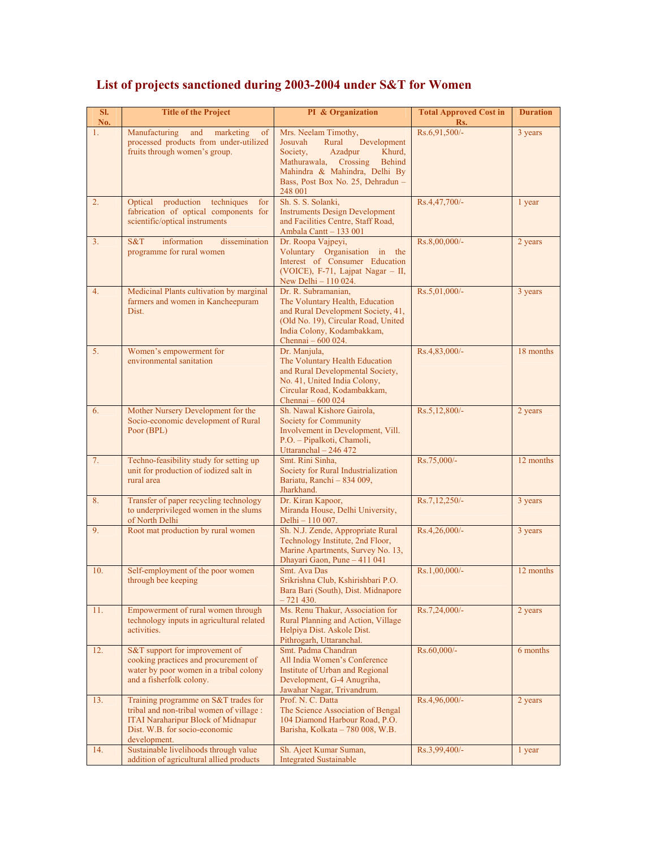| SI.<br>No. | <b>Title of the Project</b>                                                                                                                                                    | PI & Organization                                                                                                                                                                                                   | <b>Total Approved Cost in</b><br>Rs. | <b>Duration</b> |
|------------|--------------------------------------------------------------------------------------------------------------------------------------------------------------------------------|---------------------------------------------------------------------------------------------------------------------------------------------------------------------------------------------------------------------|--------------------------------------|-----------------|
| 1.         | Manufacturing<br>and<br>marketing<br>of<br>processed products from under-utilized<br>fruits through women's group.                                                             | Mrs. Neelam Timothy,<br>Development<br>Josuvah<br>Rural<br>Society,<br>Azadpur<br>Khurd,<br>Mathurawala, Crossing<br><b>Behind</b><br>Mahindra & Mahindra, Delhi By<br>Bass, Post Box No. 25, Dehradun -<br>248 001 | Rs.6,91,500/-                        | 3 years         |
| 2.         | Optical production<br>techniques<br>for<br>fabrication of optical components for<br>scientific/optical instruments                                                             | Sh. S. S. Solanki,<br><b>Instruments Design Development</b><br>and Facilities Centre, Staff Road,<br>Ambala Cantt - 133 001                                                                                         | Rs.4,47,700/-                        | 1 year          |
| 3.         | S&T<br>information<br>dissemination<br>programme for rural women                                                                                                               | Dr. Roopa Vajpeyi,<br>Voluntary Organisation in the<br>Interest of Consumer Education<br>(VOICE), F-71, Lajpat Nagar - II,<br>New Delhi - 110 024.                                                                  | Rs.8,00,000/-                        | 2 years         |
| 4.         | Medicinal Plants cultivation by marginal<br>farmers and women in Kancheepuram<br>Dist.                                                                                         | Dr. R. Subramanian,<br>The Voluntary Health, Education<br>and Rural Development Society, 41,<br>(Old No. 19), Circular Road, United<br>India Colony, Kodambakkam,<br>Chennai - 600 024.                             | Rs.5,01,000/-                        | 3 years         |
| 5.         | Women's empowerment for<br>environmental sanitation                                                                                                                            | Dr. Manjula,<br>The Voluntary Health Education<br>and Rural Developmental Society,<br>No. 41, United India Colony,<br>Circular Road, Kodambakkam,<br>Chennai - 600 024                                              | Rs.4,83,000/-                        | 18 months       |
| 6.         | Mother Nursery Development for the<br>Socio-economic development of Rural<br>Poor (BPL)                                                                                        | Sh. Nawal Kishore Gairola,<br>Society for Community<br>Involvement in Development, Vill.<br>P.O. - Pipalkoti, Chamoli,<br>Uttaranchal - 246 472                                                                     | Rs.5,12,800/-                        | 2 years         |
| 7.         | Techno-feasibility study for setting up<br>unit for production of iodized salt in<br>rural area                                                                                | Smt. Rini Sinha,<br>Society for Rural Industrialization<br>Bariatu, Ranchi - 834 009,<br>Jharkhand.                                                                                                                 | Rs.75,000/-                          | 12 months       |
| 8.         | Transfer of paper recycling technology<br>to underprivileged women in the slums<br>of North Delhi                                                                              | Dr. Kiran Kapoor,<br>Miranda House, Delhi University,<br>Delhi - 110 007.                                                                                                                                           | Rs.7,12,250/-                        | 3 years         |
| 9.         | Root mat production by rural women                                                                                                                                             | Sh. N.J. Zende, Appropriate Rural<br>Technology Institute, 2nd Floor,<br>Marine Apartments, Survey No. 13,<br>Dhayari Gaon, Pune - 411 041                                                                          | Rs.4,26,000/-                        | 3 years         |
| 10.        | Self-employment of the poor women<br>through bee keeping                                                                                                                       | Smt. Ava Das<br>Srikrishna Club, Kshirishbari P.O.<br>Bara Bari (South), Dist. Midnapore<br>$-721430.$                                                                                                              | Rs.1,00,000/-                        | 12 months       |
| 11.        | Empowerment of rural women through<br>technology inputs in agricultural related<br>activities.                                                                                 | Ms. Renu Thakur, Association for<br>Rural Planning and Action, Village<br>Helpiya Dist. Askole Dist.<br>Pithrogarh, Uttaranchal.                                                                                    | Rs.7,24,000/-                        | 2 years         |
| 12.        | S&T support for improvement of<br>cooking practices and procurement of<br>water by poor women in a tribal colony<br>and a fisherfolk colony.                                   | Smt. Padma Chandran<br>All India Women's Conference<br>Institute of Urban and Regional<br>Development, G-4 Anugriha,<br>Jawahar Nagar, Trivandrum.                                                                  | Rs.60,000/-                          | 6 months        |
| 13.        | Training programme on S&T trades for<br>tribal and non-tribal women of village :<br><b>ITAI Naraharipur Block of Midnapur</b><br>Dist. W.B. for socio-economic<br>development. | Prof. N. C. Datta<br>The Science Association of Bengal<br>104 Diamond Harbour Road, P.O.<br>Barisha, Kolkata - 780 008, W.B.                                                                                        | Rs.4,96,000/-                        | 2 years         |
| 14.        | Sustainable livelihoods through value<br>addition of agricultural allied products                                                                                              | Sh. Ajeet Kumar Suman,<br><b>Integrated Sustainable</b>                                                                                                                                                             | Rs.3,99,400/-                        | 1 year          |

## **List of projects sanctioned during 2003-2004 under S&T for Women**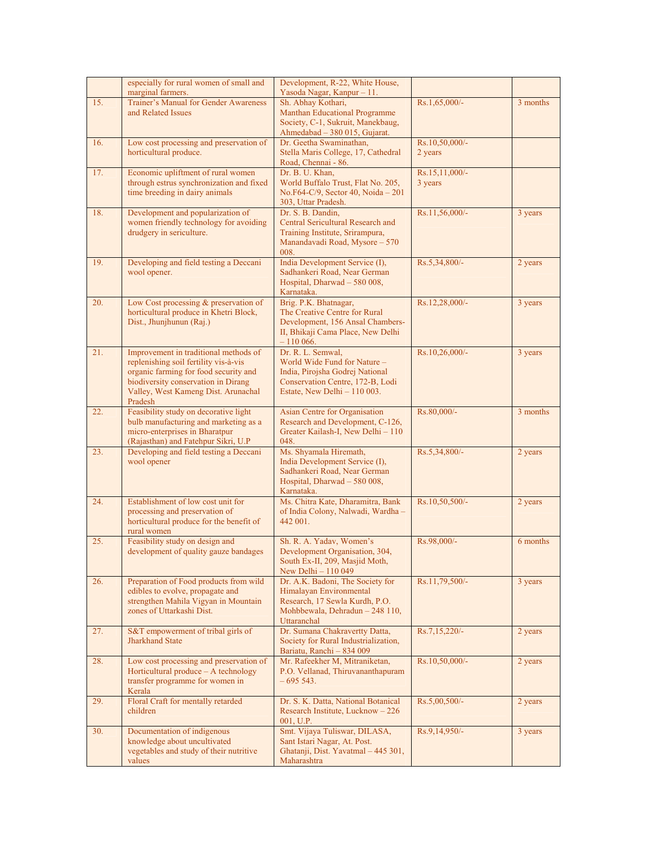|     | especially for rural women of small and                                        | Development, R-22, White House,                                         |                  |          |
|-----|--------------------------------------------------------------------------------|-------------------------------------------------------------------------|------------------|----------|
| 15. | marginal farmers.<br>Trainer's Manual for Gender Awareness                     | Yasoda Nagar, Kanpur - 11.<br>Sh. Abhay Kothari,                        | Rs.1,65,000/-    | 3 months |
|     | and Related Issues                                                             | Manthan Educational Programme                                           |                  |          |
|     |                                                                                | Society, C-1, Sukruit, Manekbaug,                                       |                  |          |
| 16. | Low cost processing and preservation of                                        | Ahmedabad - 380 015, Gujarat.<br>Dr. Geetha Swaminathan,                | Rs.10,50,000/-   |          |
|     | horticultural produce.                                                         | Stella Maris College, 17, Cathedral                                     | 2 years          |          |
|     |                                                                                | Road, Chennai - 86.                                                     |                  |          |
| 17. | Economic upliftment of rural women                                             | Dr. B. U. Khan,                                                         | Rs.15,11,000/-   |          |
|     | through estrus synchronization and fixed                                       | World Buffalo Trust, Flat No. 205,                                      | 3 years          |          |
|     | time breeding in dairy animals                                                 | No.F64-C/9, Sector 40, Noida - 201<br>303, Uttar Pradesh.               |                  |          |
| 18. | Development and popularization of                                              | Dr. S. B. Dandin,                                                       | Rs.11,56,000/-   | 3 years  |
|     | women friendly technology for avoiding                                         | Central Sericultural Research and                                       |                  |          |
|     | drudgery in sericulture.                                                       | Training Institute, Srirampura,<br>Manandavadi Road, Mysore - 570       |                  |          |
|     |                                                                                | 008.                                                                    |                  |          |
| 19. | Developing and field testing a Deccani                                         | India Development Service (I),                                          | Rs.5,34,800/-    | 2 years  |
|     | wool opener.                                                                   | Sadhankeri Road, Near German                                            |                  |          |
|     |                                                                                | Hospital, Dharwad - 580 008,<br>Karnataka.                              |                  |          |
| 20. | Low Cost processing & preservation of                                          | Brig. P.K. Bhatnagar,                                                   | Rs.12,28,000/-   | 3 years  |
|     | horticultural produce in Khetri Block,                                         | The Creative Centre for Rural                                           |                  |          |
|     | Dist., Jhunjhunun (Raj.)                                                       | Development, 156 Ansal Chambers-<br>II, Bhikaji Cama Place, New Delhi   |                  |          |
|     |                                                                                | $-110066.$                                                              |                  |          |
| 21. | Improvement in traditional methods of                                          | Dr. R. L. Semwal.                                                       | Rs.10,26,000/-   | 3 years  |
|     | replenishing soil fertility vis-à-vis<br>organic farming for food security and | World Wide Fund for Nature -                                            |                  |          |
|     | biodiversity conservation in Dirang                                            | India, Pirojsha Godrej National<br>Conservation Centre, 172-B, Lodi     |                  |          |
|     | Valley, West Kameng Dist. Arunachal                                            | Estate, New Delhi $-110003$ .                                           |                  |          |
|     | Pradesh                                                                        |                                                                         |                  |          |
| 22. | Feasibility study on decorative light<br>bulb manufacturing and marketing as a | Asian Centre for Organisation<br>Research and Development, C-126,       | Rs.80,000/-      | 3 months |
|     | micro-enterprises in Bharatpur                                                 | Greater Kailash-I, New Delhi - 110                                      |                  |          |
|     | (Rajasthan) and Fatehpur Sikri, U.P                                            | 048.                                                                    |                  |          |
| 23. | Developing and field testing a Deccani                                         | Ms. Shyamala Hiremath,                                                  | Rs.5,34,800/-    | 2 years  |
|     | wool opener                                                                    | India Development Service (I),<br>Sadhankeri Road, Near German          |                  |          |
|     |                                                                                | Hospital, Dharwad - 580 008,                                            |                  |          |
|     |                                                                                | Karnataka.                                                              |                  |          |
| 24. | Establishment of low cost unit for<br>processing and preservation of           | Ms. Chitra Kate, Dharamitra, Bank<br>of India Colony, Nalwadi, Wardha - | $Rs.10,50,500/-$ | 2 years  |
|     | horticultural produce for the benefit of                                       | 442 001.                                                                |                  |          |
|     | rural women                                                                    |                                                                         |                  |          |
| 25. | Feasibility study on design and<br>development of quality gauze bandages       | Sh. R. A. Yadav, Women's<br>Development Organisation, 304,              | Rs.98,000/-      | 6 months |
|     |                                                                                | South Ex-II, 209, Masjid Moth,                                          |                  |          |
|     |                                                                                | New Delhi - 110 049                                                     |                  |          |
| 26. | Preparation of Food products from wild                                         | Dr. A.K. Badoni, The Society for                                        | Rs.11,79,500/-   | 3 years  |
|     | edibles to evolve, propagate and<br>strengthen Mahila Vigyan in Mountain       | Himalayan Environmental<br>Research, 17 Sewla Kurdh, P.O.               |                  |          |
|     | zones of Uttarkashi Dist.                                                      | Mohbbewala, Dehradun - 248 110,                                         |                  |          |
|     |                                                                                | Uttaranchal                                                             |                  |          |
| 27. | S&T empowerment of tribal girls of<br><b>Jharkhand State</b>                   | Dr. Sumana Chakravertty Datta,<br>Society for Rural Industrialization,  | Rs.7,15,220/-    | 2 years  |
|     |                                                                                | Bariatu, Ranchi - 834 009                                               |                  |          |
| 28. | Low cost processing and preservation of                                        | Mr. Rafeekher M, Mitraniketan,                                          | Rs.10,50,000/-   | 2 years  |
|     | Horticultural produce – A technology                                           | P.O. Vellanad, Thiruvananthapuram<br>$-695543.$                         |                  |          |
|     | transfer programme for women in<br>Kerala                                      |                                                                         |                  |          |
| 29. | Floral Craft for mentally retarded                                             | Dr. S. K. Datta, National Botanical                                     | Rs.5,00,500/-    | 2 years  |
|     | children                                                                       | Research Institute, Lucknow - 226                                       |                  |          |
| 30. | Documentation of indigenous                                                    | 001, U.P.<br>Smt. Vijaya Tuliswar, DILASA,                              | $Rs.9,14,950/-$  | 3 years  |
|     | knowledge about uncultivated                                                   | Sant Istari Nagar, At. Post.                                            |                  |          |
|     | vegetables and study of their nutritive                                        | Ghatanji, Dist. Yavatmal - 445 301,                                     |                  |          |
|     | values                                                                         | Maharashtra                                                             |                  |          |